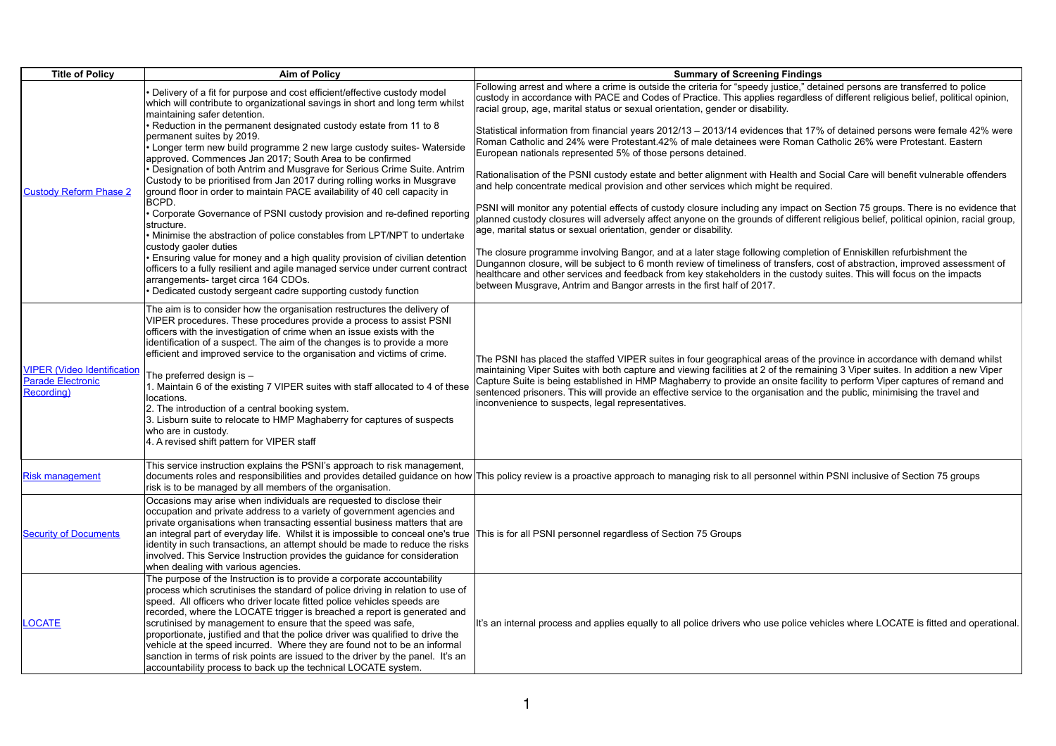| <b>Title of Policy</b>                                                                                    | <b>Aim of Policy</b>                                                                                                                                                                                                                                                                                                                                                                                                                                                                                                                                                                                                                                                                                 |                                                                                                                                                                                             |
|-----------------------------------------------------------------------------------------------------------|------------------------------------------------------------------------------------------------------------------------------------------------------------------------------------------------------------------------------------------------------------------------------------------------------------------------------------------------------------------------------------------------------------------------------------------------------------------------------------------------------------------------------------------------------------------------------------------------------------------------------------------------------------------------------------------------------|---------------------------------------------------------------------------------------------------------------------------------------------------------------------------------------------|
|                                                                                                           | • Delivery of a fit for purpose and cost efficient/effective custody model<br>which will contribute to organizational savings in short and long term whilst<br>maintaining safer detention.                                                                                                                                                                                                                                                                                                                                                                                                                                                                                                          | Following arrest and where a crim<br>custody in accordance with PACE<br>racial group, age, marital status or                                                                                |
|                                                                                                           | • Reduction in the permanent designated custody estate from 11 to 8<br>permanent suites by 2019.<br>• Longer term new build programme 2 new large custody suites- Waterside<br>approved. Commences Jan 2017; South Area to be confirmed                                                                                                                                                                                                                                                                                                                                                                                                                                                              | Statistical information from financi<br>Roman Catholic and 24% were Pr<br>European nationals represented 5                                                                                  |
| <b>Custody Reform Phase 2</b>                                                                             | • Designation of both Antrim and Musgrave for Serious Crime Suite. Antrim<br>Custody to be prioritised from Jan 2017 during rolling works in Musgrave<br>ground floor in order to maintain PACE availability of 40 cell capacity in                                                                                                                                                                                                                                                                                                                                                                                                                                                                  | Rationalisation of the PSNI custod<br>and help concentrate medical pro-                                                                                                                     |
|                                                                                                           | BCPD.<br>• Corporate Governance of PSNI custody provision and re-defined reporting<br>structure.<br>• Minimise the abstraction of police constables from LPT/NPT to undertake                                                                                                                                                                                                                                                                                                                                                                                                                                                                                                                        | PSNI will monitor any potential eff<br>planned custody closures will adv<br>age, marital status or sexual orien                                                                             |
|                                                                                                           | custody gaoler duties<br>• Ensuring value for money and a high quality provision of civilian detention<br>officers to a fully resilient and agile managed service under current contract<br>arrangements-target circa 164 CDOs.<br>• Dedicated custody sergeant cadre supporting custody function                                                                                                                                                                                                                                                                                                                                                                                                    | The closure programme involving<br>Dungannon closure, will be subjed<br>healthcare and other services and<br>between Musgrave, Antrim and Ba                                                |
| VIPER (Video Identification   The preferred design is -<br><b>Parade Electronic</b><br><b>Recording</b> ) | The aim is to consider how the organisation restructures the delivery of<br>VIPER procedures. These procedures provide a process to assist PSNI<br>officers with the investigation of crime when an issue exists with the<br>identification of a suspect. The aim of the changes is to provide a more<br>efficient and improved service to the organisation and victims of crime.<br>1. Maintain 6 of the existing 7 VIPER suites with staff allocated to 4 of these<br>locations.<br>2. The introduction of a central booking system.<br>3. Lisburn suite to relocate to HMP Maghaberry for captures of suspects<br>who are in custody.<br>4. A revised shift pattern for VIPER staff               | The PSNI has placed the staffed \<br> maintaining Viper Suites with both<br>Capture Suite is being established<br>sentenced prisoners. This will pro-<br>inconvenience to suspects, legal r |
| <b>Risk management</b>                                                                                    | This service instruction explains the PSNI's approach to risk management,<br>documents roles and responsibilities and provides detailed guidance on how This policy review is a proactive a<br>risk is to be managed by all members of the organisation.                                                                                                                                                                                                                                                                                                                                                                                                                                             |                                                                                                                                                                                             |
| <b>Security of Documents</b>                                                                              | Occasions may arise when individuals are requested to disclose their<br>occupation and private address to a variety of government agencies and<br>private organisations when transacting essential business matters that are<br>an integral part of everyday life. Whilst it is impossible to conceal one's true<br>identity in such transactions, an attempt should be made to reduce the risks<br>involved. This Service Instruction provides the guidance for consideration<br>when dealing with various agencies.                                                                                                                                                                                | This is for all PSNI personnel rega                                                                                                                                                         |
| <b>OCATE</b>                                                                                              | The purpose of the Instruction is to provide a corporate accountability<br>process which scrutinises the standard of police driving in relation to use of<br>speed. All officers who driver locate fitted police vehicles speeds are<br>recorded, where the LOCATE trigger is breached a report is generated and<br>scrutinised by management to ensure that the speed was safe,<br>proportionate, justified and that the police driver was qualified to drive the<br>vehicle at the speed incurred. Where they are found not to be an informal<br>sanction in terms of risk points are issued to the driver by the panel. It's an<br>accountability process to back up the technical LOCATE system. | It's an internal process and applie                                                                                                                                                         |

## **Summary of Screening Findings**

he is outside the criteria for "speedy justice," detained persons are transferred to police custody in accordance with Pace and Codes in and Codes of different religious belief, political opinion, r sexual orientation, gender or disability.

ial years 2012/13 – 2013/14 evidences that 17% of detained persons were female 42% were rotestant 42% of male detainees were Roman Catholic 26% were Protestant. Eastern 5% of those persons detained.

dy estate and better alignment with Health and Social Care will benefit vulnerable offenders wision and other services which might be required.

fects of custody closure including any impact on Section 75 groups. There is no evidence that versely affect anyone on the grounds of different religious belief, political opinion, racial group, ntation, gender or disability.

Rhengor, and at a later stage following completion of Enniskillen refurbishment the ct to 6 month review of timeliness of transfers, cost of abstraction, improved assessment of I feedback from key stakeholders in the custody suites. This will focus on the impacts angor arrests in the first half of 2017.

VIPER suites in four geographical areas of the province in accordance with demand whilst i capture and viewing facilities at 2 of the remaining 3 Viper suites. In addition a new Viper d in HMP Maghaberry to provide an onsite facility to perform Viper captures of remand and vide an effective service to the organisation and the public, minimising the travel and representatives.

approach to managing risk to all personnel within PSNI inclusive of Section 75 groups

ardless of Section 75 Groups

es equally to all police drivers who use police vehicles where LOCATE is fitted and operational.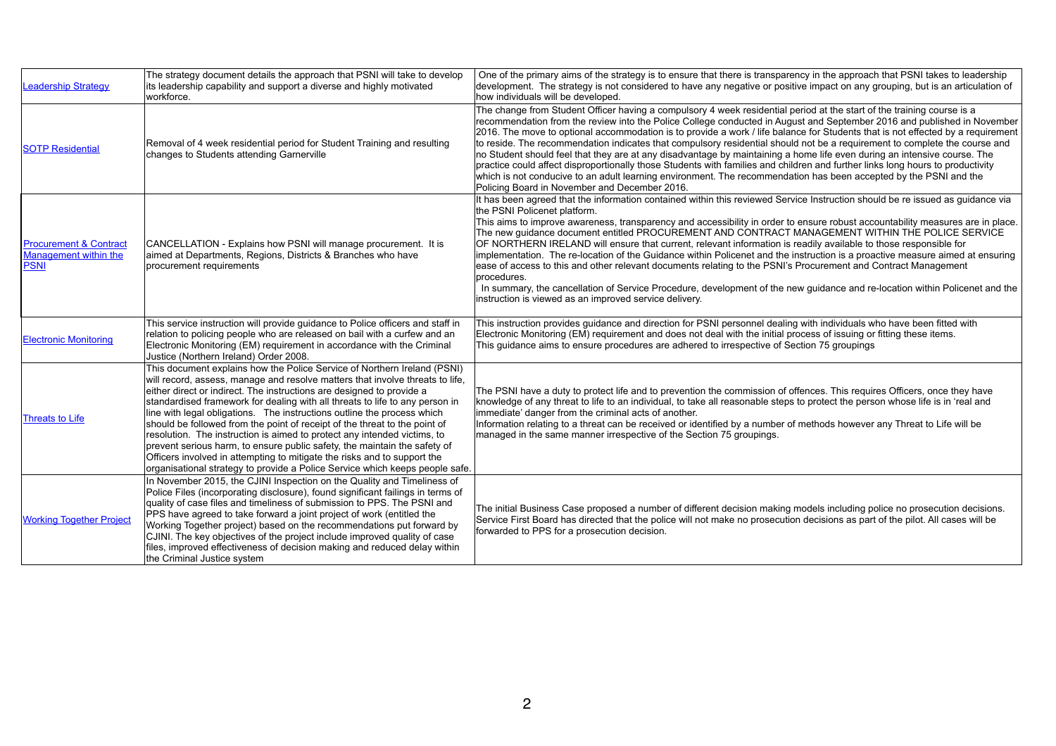| <u>Leadership Strategy</u>                                                       | The strategy document details the approach that PSNI will take to develop<br>its leadership capability and support a diverse and highly motivated<br>workforce.                                                                                                                                                                                                                                                                                                                                                                                                                                                                                                                                                                                                                                  | One of the primary aims of the str<br>development. The strategy is not<br>how individuals will be developed.                                                                                                                                                                                                                                  |
|----------------------------------------------------------------------------------|--------------------------------------------------------------------------------------------------------------------------------------------------------------------------------------------------------------------------------------------------------------------------------------------------------------------------------------------------------------------------------------------------------------------------------------------------------------------------------------------------------------------------------------------------------------------------------------------------------------------------------------------------------------------------------------------------------------------------------------------------------------------------------------------------|-----------------------------------------------------------------------------------------------------------------------------------------------------------------------------------------------------------------------------------------------------------------------------------------------------------------------------------------------|
| <b>SOTP Residential</b>                                                          | Removal of 4 week residential period for Student Training and resulting<br>changes to Students attending Garnerville                                                                                                                                                                                                                                                                                                                                                                                                                                                                                                                                                                                                                                                                             | The change from Student Officer I<br>recommendation from the review i<br>2016. The move to optional accon<br>to reside. The recommendation in<br>no Student should feel that they a<br>practice could affect disproportion<br>which is not conducive to an adult<br>Policing Board in November and D                                          |
| <b>Procurement &amp; Contract</b><br><b>Management within the</b><br><b>PSNI</b> | CANCELLATION - Explains how PSNI will manage procurement. It is<br>aimed at Departments, Regions, Districts & Branches who have<br>procurement requirements                                                                                                                                                                                                                                                                                                                                                                                                                                                                                                                                                                                                                                      | It has been agreed that the inform<br>the PSNI Policenet platform.<br>This aims to improve awareness,<br>The new guidance document entit<br>OF NORTHERN IRELAND will en<br>implementation. The re-location c<br>ease of access to this and other re<br>procedures.<br>In summary, the cancellation of S<br>instruction is viewed as an improv |
| <b>Electronic Monitoring</b>                                                     | This service instruction will provide guidance to Police officers and staff in<br>relation to policing people who are released on bail with a curfew and an<br>Electronic Monitoring (EM) requirement in accordance with the Criminal<br>Justice (Northern Ireland) Order 2008.                                                                                                                                                                                                                                                                                                                                                                                                                                                                                                                  | This instruction provides guidance<br>Electronic Monitoring (EM) require<br>This guidance aims to ensure prod                                                                                                                                                                                                                                 |
| <b>Threats to Life</b>                                                           | This document explains how the Police Service of Northern Ireland (PSNI)<br>will record, assess, manage and resolve matters that involve threats to life,<br>either direct or indirect. The instructions are designed to provide a<br>standardised framework for dealing with all threats to life to any person in<br>line with legal obligations. The instructions outline the process which<br>should be followed from the point of receipt of the threat to the point of<br>resolution. The instruction is aimed to protect any intended victims, to<br>prevent serious harm, to ensure public safety, the maintain the safety of<br>Officers involved in attempting to mitigate the risks and to support the<br>organisational strategy to provide a Police Service which keeps people safe. | The PSNI have a duty to protect li<br>knowledge of any threat to life to a<br>immediate' danger from the crimin<br>Information relating to a threat car<br>managed in the same manner irre                                                                                                                                                    |
| <b>Working Together Project</b>                                                  | In November 2015, the CJINI Inspection on the Quality and Timeliness of<br>Police Files (incorporating disclosure), found significant failings in terms of<br>quality of case files and timeliness of submission to PPS. The PSNI and<br>PPS have agreed to take forward a joint project of work (entitled the<br>Working Together project) based on the recommendations put forward by<br>CJINI. The key objectives of the project include improved quality of case<br>files, improved effectiveness of decision making and reduced delay within<br>the Criminal Justice system                                                                                                                                                                                                                 | The initial Business Case propose<br>Service First Board has directed th<br>forwarded to PPS for a prosecutio                                                                                                                                                                                                                                 |

Inategy is to ensure that there is transparency in the approach that PSNI takes to leadership considered to have any negative or positive impact on any grouping, but is an articulation of

having a compulsory 4 week residential period at the start of the training course is a into the Police College conducted in August and September 2016 and published in November mmodation is to provide a work / life balance for Students that is not effected by a requirement dicates that compulsory residential should not be a requirement to complete the course and are at any disadvantage by maintaining a home life even during an intensive course. The hally those Students with families and children and further links long hours to productivity t learning environment. The recommendation has been accepted by the PSNI and the December 2016.

it has been agreed within this reviewed Service Instruction should be re issued as guidance via

transparency and accessibility in order to ensure robust accountability measures are in place. Itled PROCUREMENT AND CONTRACT MANAGEMENT WITHIN THE POLICE SERVICE Isure that current, relevant information is readily available to those responsible for of the Guidance within Policenet and the instruction is a proactive measure aimed at ensuring elevant documents relating to the PSNI's Procurement and Contract Management

Service Procedure, development of the new guidance and re-location within Policenet and the ed service delivery.

the and direction for PSNI personnel dealing with individuals who have been fitted with ement and does not deal with the initial process of issuing or fitting these items. cedures are adhered to irrespective of Section 75 groupings

ife and to prevention the commission of offences. This requires Officers, once they have an individual, to take all reasonable steps to protect the person whose life is in 'real and nal acts of another.

In be received or identified by a number of methods however any Threat to Life will be espective of the Section 75 groupings.

ed a number of different decision making models including police no prosecution decisions. that the police will not make no prosecution decisions as part of the pilot. All cases will be on decision.